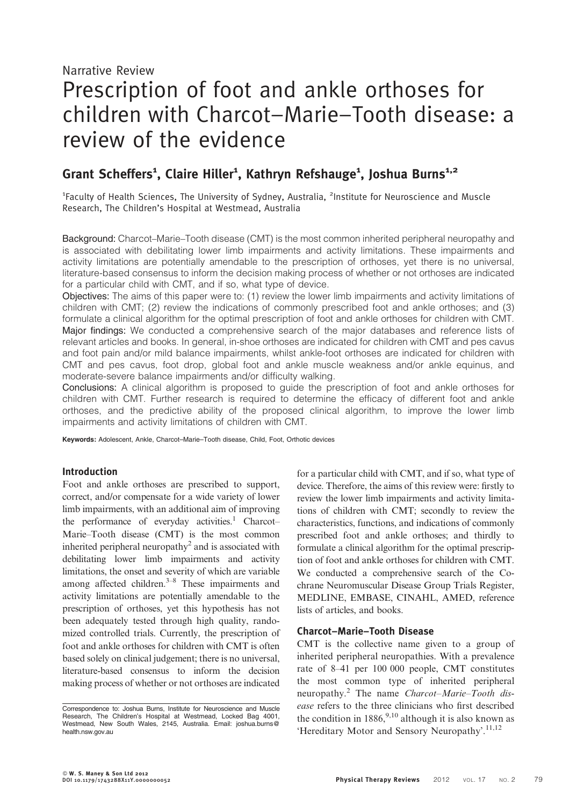# Prescription of foot and ankle orthoses for children with Charcot–Marie–Tooth disease: a review of the evidence

# Grant Scheffers<sup>1</sup>, Claire Hiller<sup>1</sup>, Kathryn Refshauge<sup>1</sup>, Joshua Burns<sup>1,2</sup>

<sup>1</sup>Faculty of Health Sciences, The University of Sydney, Australia, <sup>2</sup>Institute for Neuroscience and Muscle Research, The Children's Hospital at Westmead, Australia

Background: Charcot–Marie–Tooth disease (CMT) is the most common inherited peripheral neuropathy and is associated with debilitating lower limb impairments and activity limitations. These impairments and activity limitations are potentially amendable to the prescription of orthoses, yet there is no universal, literature-based consensus to inform the decision making process of whether or not orthoses are indicated for a particular child with CMT, and if so, what type of device.

Objectives: The aims of this paper were to: (1) review the lower limb impairments and activity limitations of children with CMT; (2) review the indications of commonly prescribed foot and ankle orthoses; and (3) formulate a clinical algorithm for the optimal prescription of foot and ankle orthoses for children with CMT. Major findings: We conducted a comprehensive search of the major databases and reference lists of relevant articles and books. In general, in-shoe orthoses are indicated for children with CMT and pes cavus and foot pain and/or mild balance impairments, whilst ankle-foot orthoses are indicated for children with CMT and pes cavus, foot drop, global foot and ankle muscle weakness and/or ankle equinus, and moderate-severe balance impairments and/or difficulty walking.

Conclusions: A clinical algorithm is proposed to guide the prescription of foot and ankle orthoses for children with CMT. Further research is required to determine the efficacy of different foot and ankle orthoses, and the predictive ability of the proposed clinical algorithm, to improve the lower limb impairments and activity limitations of children with CMT.

Keywords: Adolescent, Ankle, Charcot–Marie–Tooth disease, Child, Foot, Orthotic devices

#### Introduction

Foot and ankle orthoses are prescribed to support, correct, and/or compensate for a wide variety of lower limb impairments, with an additional aim of improving the performance of everyday activities.<sup>1</sup> Charcot– Marie–Tooth disease (CMT) is the most common inherited peripheral neuropathy<sup>2</sup> and is associated with debilitating lower limb impairments and activity limitations, the onset and severity of which are variable among affected children. $3-8$  These impairments and activity limitations are potentially amendable to the prescription of orthoses, yet this hypothesis has not been adequately tested through high quality, randomized controlled trials. Currently, the prescription of foot and ankle orthoses for children with CMT is often based solely on clinical judgement; there is no universal, literature-based consensus to inform the decision making process of whether or not orthoses are indicated

for a particular child with CMT, and if so, what type of device. Therefore, the aims of this review were: firstly to review the lower limb impairments and activity limitations of children with CMT; secondly to review the characteristics, functions, and indications of commonly prescribed foot and ankle orthoses; and thirdly to formulate a clinical algorithm for the optimal prescription of foot and ankle orthoses for children with CMT. We conducted a comprehensive search of the Cochrane Neuromuscular Disease Group Trials Register, MEDLINE, EMBASE, CINAHL, AMED, reference lists of articles, and books.

#### Charcot–Marie–Tooth Disease

CMT is the collective name given to a group of inherited peripheral neuropathies. With a prevalence rate of 8–41 per 100 000 people, CMT constitutes the most common type of inherited peripheral neuropathy.<sup>2</sup> The name Charcot–Marie–Tooth disease refers to the three clinicians who first described the condition in  $1886$ ,  $9,10$  although it is also known as 'Hereditary Motor and Sensory Neuropathy'.<sup>11,12</sup>

Correspondence to: Joshua Burns, Institute for Neuroscience and Muscle Research, The Children's Hospital at Westmead, Locked Bag 4001, Westmead, New South Wales, 2145, Australia. Email: joshua.burns@ health.nsw.gov.au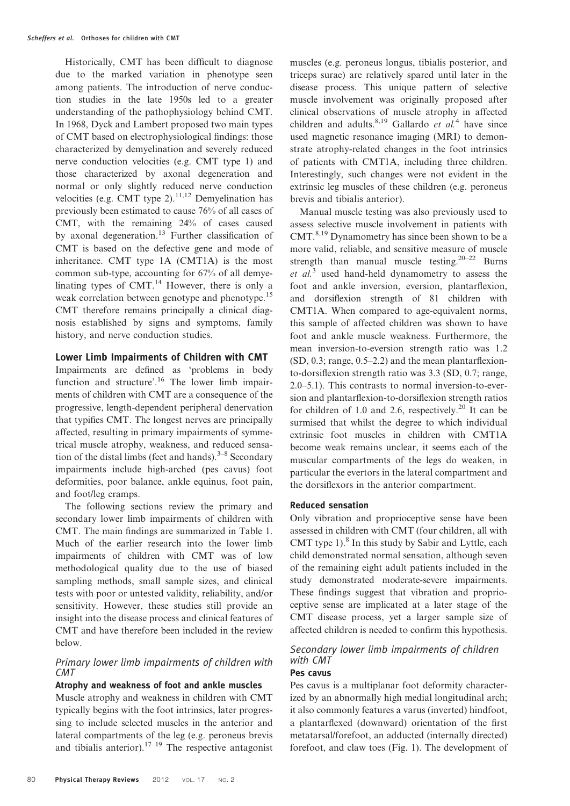Historically, CMT has been difficult to diagnose due to the marked variation in phenotype seen among patients. The introduction of nerve conduction studies in the late 1950s led to a greater understanding of the pathophysiology behind CMT. In 1968, Dyck and Lambert proposed two main types of CMT based on electrophysiological findings: those characterized by demyelination and severely reduced nerve conduction velocities (e.g. CMT type 1) and those characterized by axonal degeneration and normal or only slightly reduced nerve conduction velocities (e.g. CMT type 2).<sup>11,12</sup> Demyelination has previously been estimated to cause 76% of all cases of CMT, with the remaining 24% of cases caused by axonal degeneration.<sup>13</sup> Further classification of CMT is based on the defective gene and mode of inheritance. CMT type 1A (CMT1A) is the most common sub-type, accounting for 67% of all demyelinating types of  $CMT$ .<sup>14</sup> However, there is only a weak correlation between genotype and phenotype.<sup>15</sup> CMT therefore remains principally a clinical diagnosis established by signs and symptoms, family history, and nerve conduction studies.

#### Lower Limb Impairments of Children with CMT

Impairments are defined as 'problems in body function and structure'.<sup>16</sup> The lower limb impairments of children with CMT are a consequence of the progressive, length-dependent peripheral denervation that typifies CMT. The longest nerves are principally affected, resulting in primary impairments of symmetrical muscle atrophy, weakness, and reduced sensation of the distal limbs (feet and hands). $3-8$  Secondary impairments include high-arched (pes cavus) foot deformities, poor balance, ankle equinus, foot pain, and foot/leg cramps.

The following sections review the primary and secondary lower limb impairments of children with CMT. The main findings are summarized in Table 1. Much of the earlier research into the lower limb impairments of children with CMT was of low methodological quality due to the use of biased sampling methods, small sample sizes, and clinical tests with poor or untested validity, reliability, and/or sensitivity. However, these studies still provide an insight into the disease process and clinical features of CMT and have therefore been included in the review below.

#### Primary lower limb impairments of children with CMT

# Atrophy and weakness of foot and ankle muscles

Muscle atrophy and weakness in children with CMT typically begins with the foot intrinsics, later progressing to include selected muscles in the anterior and lateral compartments of the leg (e.g. peroneus brevis and tibialis anterior).<sup>17–19</sup> The respective antagonist

muscles (e.g. peroneus longus, tibialis posterior, and triceps surae) are relatively spared until later in the disease process. This unique pattern of selective muscle involvement was originally proposed after clinical observations of muscle atrophy in affected children and adults.<sup>8,19</sup> Gallardo et  $al^4$  have since used magnetic resonance imaging (MRI) to demonstrate atrophy-related changes in the foot intrinsics of patients with CMT1A, including three children. Interestingly, such changes were not evident in the extrinsic leg muscles of these children (e.g. peroneus brevis and tibialis anterior).

Manual muscle testing was also previously used to assess selective muscle involvement in patients with CMT.<sup>8,19</sup> Dynamometry has since been shown to be a more valid, reliable, and sensitive measure of muscle strength than manual muscle testing.<sup>20–22</sup> Burns et  $al$ <sup>3</sup> used hand-held dynamometry to assess the foot and ankle inversion, eversion, plantarflexion, and dorsiflexion strength of 81 children with CMT1A. When compared to age-equivalent norms, this sample of affected children was shown to have foot and ankle muscle weakness. Furthermore, the mean inversion-to-eversion strength ratio was 1.2 (SD, 0.3; range, 0.5–2.2) and the mean plantarflexionto-dorsiflexion strength ratio was 3.3 (SD, 0.7; range, 2.0–5.1). This contrasts to normal inversion-to-eversion and plantarflexion-to-dorsiflexion strength ratios for children of 1.0 and 2.6, respectively.<sup>20</sup> It can be surmised that whilst the degree to which individual extrinsic foot muscles in children with CMT1A become weak remains unclear, it seems each of the muscular compartments of the legs do weaken, in particular the evertors in the lateral compartment and the dorsiflexors in the anterior compartment.

#### Reduced sensation

Only vibration and proprioceptive sense have been assessed in children with CMT (four children, all with CMT type 1).<sup>8</sup> In this study by Sabir and Lyttle, each child demonstrated normal sensation, although seven of the remaining eight adult patients included in the study demonstrated moderate-severe impairments. These findings suggest that vibration and proprioceptive sense are implicated at a later stage of the CMT disease process, yet a larger sample size of affected children is needed to confirm this hypothesis.

#### Secondary lower limb impairments of children with CMT Pes cavus

Pes cavus is a multiplanar foot deformity characterized by an abnormally high medial longitudinal arch; it also commonly features a varus (inverted) hindfoot, a plantarflexed (downward) orientation of the first metatarsal/forefoot, an adducted (internally directed) forefoot, and claw toes (Fig. 1). The development of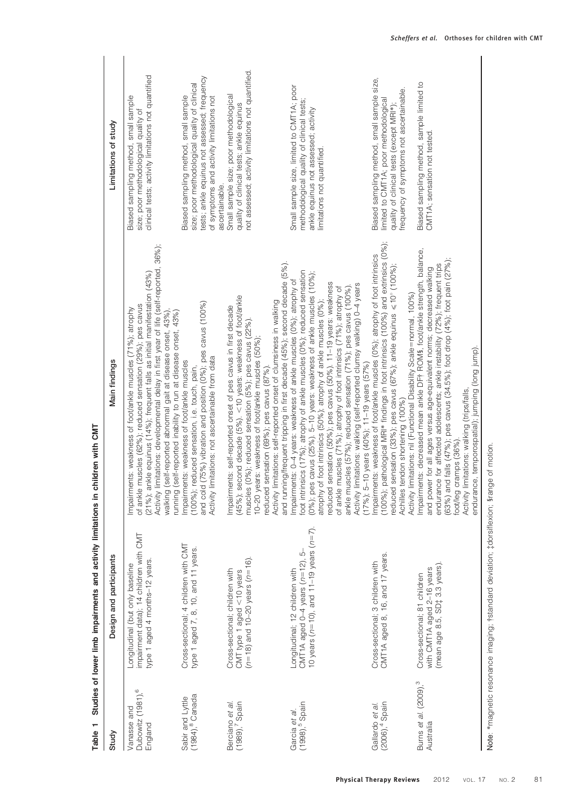| Table 1                                                 | Studies of lower limb impairments and activity limitations in children with CMT                                          |                                                                                                                                                                                                                                                                                                                                                                                                                                                                                                                                                                                                                                                             |                                                                                                                                                                                                     |
|---------------------------------------------------------|--------------------------------------------------------------------------------------------------------------------------|-------------------------------------------------------------------------------------------------------------------------------------------------------------------------------------------------------------------------------------------------------------------------------------------------------------------------------------------------------------------------------------------------------------------------------------------------------------------------------------------------------------------------------------------------------------------------------------------------------------------------------------------------------------|-----------------------------------------------------------------------------------------------------------------------------------------------------------------------------------------------------|
| Study                                                   | Design and participants                                                                                                  | Main findings                                                                                                                                                                                                                                                                                                                                                                                                                                                                                                                                                                                                                                               | Limitations of study                                                                                                                                                                                |
| Dubowitz (1981), <sup>6</sup><br>Vanasse and<br>England | impairment data); 14 children with CMT<br>type 1 aged 4 months-12 years.<br>Longitudinal (but only baseline              | Activity limitations: developmental delay in first year of life (self-reported, 36%);<br>(21%); ankle equinus (14%); frequent falls as initial manifestation (43%)<br>of ankle muscles (62%); reduced sensation (29%); pes cavus<br>Impairments: weakness of foot/ankle muscles (71%); atrophy<br>walking (self-reported abnormal gait at disease onset, 43%),<br>running (self-reported inability to run at disease onset, 43%)                                                                                                                                                                                                                            | clinical tests; activity limitations not quantified<br>Biased sampling method, small sample<br>size; poor methodological quality of                                                                 |
| $(1984)8$ Canada<br>Sabir and Lyttle                    | Cross-sectional; 4 children with CMT<br>type 1 aged 7, 8, 10, and 11 years.                                              | and cold (75%) vibration and position (0%); pes cavus (100%)<br>Activity limitations: not ascertainable from data<br>Impairments: weakness of foot/ankle muscles<br>(100%); reduced sensation, i.e. touch, pain,                                                                                                                                                                                                                                                                                                                                                                                                                                            | tests; ankle equinus not assessed; frequency<br>size; poor methodological quality of clinical<br>Biased sampling method, small sample<br>of symptoms and activity limitations not<br>ascertainable. |
| Berciano <i>et al.</i><br>(1989), <sup>7</sup> Spain    | $(n=18)$ and $10-20$ years $(n=16)$ .<br>Cross-sectional; children with<br>CMT type 1 aged <10 years                     | Impairments: self-reported onset of pes cavus in first decade<br>(45%); second decade (5%). <10 years: weakness of foot/ankle<br>Activity limitations: self-reported onset of clumsiness in walking<br>muscles (0%); reduced sensation (5%); pes cavus (22%).<br>10-20 years: weakness of foot/ankle muscles (50%);<br>reduced sensation (69%); pes cavus (87%).                                                                                                                                                                                                                                                                                            | not assessed; activity limitations not quantified.<br>Small sample size; poor methodological<br>quality of clinical tests; ankle equinus                                                            |
| (1998), <sup>5</sup> Spain<br>Garcia et al.             | 10 years ( $n=10$ ), and 11-19 years ( $n=7$ ).<br>CMT1A aged 0-4 years ( $n=12$ ), 5-<br>Longitudinal; 12 children with | and running/frequent tripping in first decade (45%); second decade (5%).<br>foot intrinsics (17%); atrophy of ankle muscles (0%); reduced sensation<br>(0%); pes cavus (25%). 5-10 years: weakness of ankle muscles (10%);<br>Impairments: 0-4 years: weakness of ankle muscles (0%); atrophy of<br>reduced sensation (50%); pes cavus (50%). 11-19 years: weakness<br>Activity limitations: walking (self-reported clumsy walking) 0-4 years<br>ankle muscles (57%); reduced sensation (71%); pes cavus (100%).<br>of ankle muscles (71%); atrophy of foot intrinsics (71%); atrophy of<br>atrophy of foot intrinsics (50%); atrophy of ankle muscles (0%) | Small sample size, limited to CMT1A; poor<br>methodological quality of clinical tests;<br>ankle equinus not assessed; activity<br>limitations not quantified.                                       |
| Gallardo <i>et al.</i><br>(2006), <sup>4</sup> Spain    | CMT1A aged 8, 16, and 17 years.<br>Cross-sectional; 3 children with                                                      | Impairments: weakness of foot/ankle muscles (0%); atrophy of foot intrinsics<br>$(17%)$ ; 5-10 years (40%); 11-19 years (57%)<br>Achilles tendon shortening (100%)                                                                                                                                                                                                                                                                                                                                                                                                                                                                                          | Biased sampling method, small sample size,<br>frequency of symptoms not ascertainable.<br>limited to CMT1A; poor methodological<br>quality of clinical tests (except MRI*);                         |
| Burns et al. (2009), <sup>3</sup><br>Australia          | (mean age 8.5, SD <sub>4</sub> 3.3 years)<br>with CMT1A aged 2-16 years<br>Cross-sectional; 81 children                  | Impairments: decreased mean ankle DF+ ROMS, foot/ankle strength, balance,<br>falls (47%); pes cavus (34.5%); foot drop (4%); foot pain (27%);<br>endurance for affected adolescents; ankle instability (72%); frequent trips<br>and power for all ages versus age-equivalent norms; decreased walking<br>Activity limitations: nil (Functional Disability Scale=normal, 100%)<br>endurance, temporospatial); jumping (long jump).<br>Activity limitations: walking (trips/falls,<br>foot/leg cramps (36%)<br>$(63%)$ and                                                                                                                                    | Biased sampling method, sample limited to<br>CMT1A; sensation not tested                                                                                                                            |
|                                                         |                                                                                                                          |                                                                                                                                                                                                                                                                                                                                                                                                                                                                                                                                                                                                                                                             |                                                                                                                                                                                                     |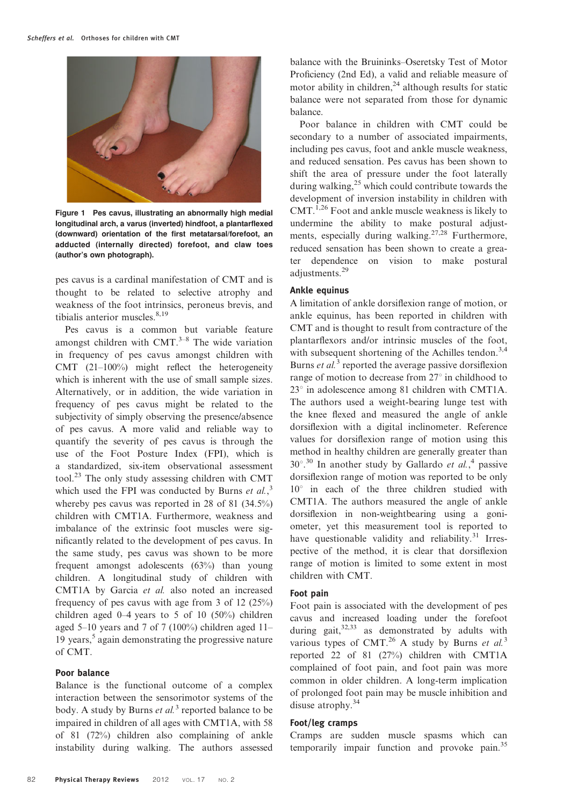

Figure 1 Pes cavus, illustrating an abnormally high medial longitudinal arch, a varus (inverted) hindfoot, a plantarflexed (downward) orientation of the first metatarsal/forefoot, an adducted (internally directed) forefoot, and claw toes (author's own photograph).

pes cavus is a cardinal manifestation of CMT and is thought to be related to selective atrophy and weakness of the foot intrinsics, peroneus brevis, and tibialis anterior muscles.<sup>8,19</sup>

Pes cavus is a common but variable feature amongst children with  $CMT$ <sup>3–8</sup> The wide variation in frequency of pes cavus amongst children with CMT (21–100%) might reflect the heterogeneity which is inherent with the use of small sample sizes. Alternatively, or in addition, the wide variation in frequency of pes cavus might be related to the subjectivity of simply observing the presence/absence of pes cavus. A more valid and reliable way to quantify the severity of pes cavus is through the use of the Foot Posture Index (FPI), which is a standardized, six-item observational assessment tool.<sup>23</sup> The only study assessing children with CMT which used the FPI was conducted by Burns et  $al$ ,<sup>3</sup> whereby pes cavus was reported in 28 of 81 (34.5%) children with CMT1A. Furthermore, weakness and imbalance of the extrinsic foot muscles were significantly related to the development of pes cavus. In the same study, pes cavus was shown to be more frequent amongst adolescents (63%) than young children. A longitudinal study of children with CMT1A by Garcia et al. also noted an increased frequency of pes cavus with age from 3 of 12 (25%) children aged 0–4 years to 5 of 10 (50%) children aged 5–10 years and 7 of 7 (100%) children aged 11– 19 years,<sup>5</sup> again demonstrating the progressive nature of CMT.

#### Poor balance

Balance is the functional outcome of a complex interaction between the sensorimotor systems of the body. A study by Burns et al.<sup>3</sup> reported balance to be impaired in children of all ages with CMT1A, with 58 of 81 (72%) children also complaining of ankle instability during walking. The authors assessed

balance with the Bruininks–Oseretsky Test of Motor Proficiency (2nd Ed), a valid and reliable measure of motor ability in children, $24$  although results for static balance were not separated from those for dynamic balance.

Poor balance in children with CMT could be secondary to a number of associated impairments, including pes cavus, foot and ankle muscle weakness, and reduced sensation. Pes cavus has been shown to shift the area of pressure under the foot laterally during walking,<sup>25</sup> which could contribute towards the development of inversion instability in children with  $CMT<sup>1,26</sup>$  Foot and ankle muscle weakness is likely to undermine the ability to make postural adjustments, especially during walking.<sup>27,28</sup> Furthermore, reduced sensation has been shown to create a greater dependence on vision to make postural adjustments.<sup>29</sup>

#### Ankle equinus

A limitation of ankle dorsiflexion range of motion, or ankle equinus, has been reported in children with CMT and is thought to result from contracture of the plantarflexors and/or intrinsic muscles of the foot, with subsequent shortening of the Achilles tendon.<sup>3,4</sup> Burns et al.<sup>3</sup> reported the average passive dorsiflexion range of motion to decrease from  $27^{\circ}$  in childhood to  $23^{\circ}$  in adolescence among 81 children with CMT1A. The authors used a weight-bearing lunge test with the knee flexed and measured the angle of ankle dorsiflexion with a digital inclinometer. Reference values for dorsiflexion range of motion using this method in healthy children are generally greater than  $30^{\circ}$ .<sup>30</sup> In another study by Gallardo et al.,<sup>4</sup> passive dorsiflexion range of motion was reported to be only  $10^{\circ}$  in each of the three children studied with CMT1A. The authors measured the angle of ankle dorsiflexion in non-weightbearing using a goniometer, yet this measurement tool is reported to have questionable validity and reliability. $31$  Irrespective of the method, it is clear that dorsiflexion range of motion is limited to some extent in most children with CMT.

#### Foot pain

Foot pain is associated with the development of pes cavus and increased loading under the forefoot during gait,  $32,33$  as demonstrated by adults with various types of CMT.<sup>26</sup> A study by Burns et al.<sup>3</sup> reported 22 of 81 (27%) children with CMT1A complained of foot pain, and foot pain was more common in older children. A long-term implication of prolonged foot pain may be muscle inhibition and disuse atrophy.<sup>34</sup>

### Foot/leg cramps

Cramps are sudden muscle spasms which can temporarily impair function and provoke pain.<sup>35</sup>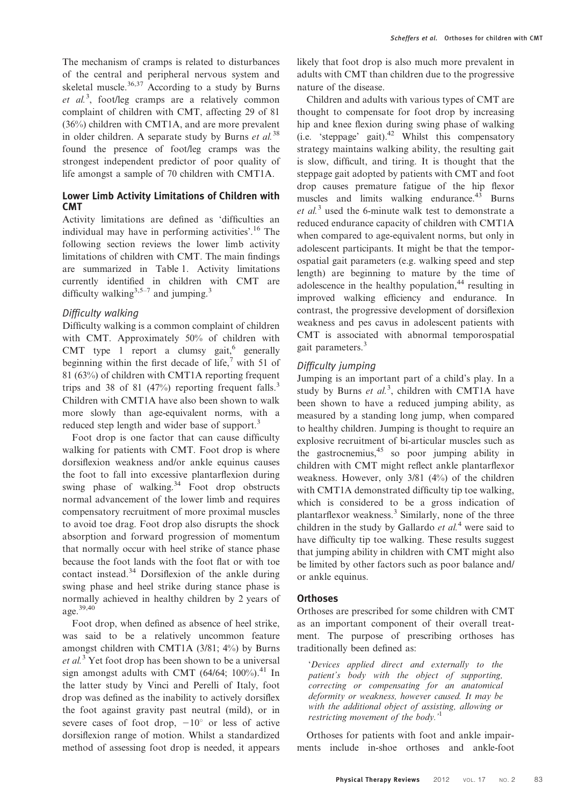The mechanism of cramps is related to disturbances of the central and peripheral nervous system and skeletal muscle. $36,37$  According to a study by Burns et  $al^3$ , foot/leg cramps are a relatively common complaint of children with CMT, affecting 29 of 81 (36%) children with CMT1A, and are more prevalent in older children. A separate study by Burns et  $al$ <sup>38</sup> found the presence of foot/leg cramps was the strongest independent predictor of poor quality of life amongst a sample of 70 children with CMT1A.

# Lower Limb Activity Limitations of Children with **CMT**

Activity limitations are defined as 'difficulties an individual may have in performing activities'.<sup>16</sup> The following section reviews the lower limb activity limitations of children with CMT. The main findings are summarized in Table 1. Activity limitations currently identified in children with CMT are difficulty walking $3,5-7$  and jumping.<sup>3</sup>

# Difficulty walking

Difficulty walking is a common complaint of children with CMT. Approximately 50% of children with CMT type 1 report a clumsy gait,<sup>6</sup> generally beginning within the first decade of life,<sup>7</sup> with 51 of 81 (63%) of children with CMT1A reporting frequent trips and 38 of 81 (47%) reporting frequent falls.<sup>3</sup> Children with CMT1A have also been shown to walk more slowly than age-equivalent norms, with a reduced step length and wider base of support.<sup>3</sup>

Foot drop is one factor that can cause difficulty walking for patients with CMT. Foot drop is where dorsiflexion weakness and/or ankle equinus causes the foot to fall into excessive plantarflexion during swing phase of walking. $34$  Foot drop obstructs normal advancement of the lower limb and requires compensatory recruitment of more proximal muscles to avoid toe drag. Foot drop also disrupts the shock absorption and forward progression of momentum that normally occur with heel strike of stance phase because the foot lands with the foot flat or with toe contact instead.<sup>34</sup> Dorsiflexion of the ankle during swing phase and heel strike during stance phase is normally achieved in healthy children by 2 years of age.39,40

Foot drop, when defined as absence of heel strike, was said to be a relatively uncommon feature amongst children with CMT1A (3/81; 4%) by Burns *et al.*<sup>3</sup> Yet foot drop has been shown to be a universal sign amongst adults with CMT  $(64/64; 100\%)$ <sup>41</sup> In the latter study by Vinci and Perelli of Italy, foot drop was defined as the inability to actively dorsiflex the foot against gravity past neutral (mild), or in severe cases of foot drop,  $-10^{\circ}$  or less of active dorsiflexion range of motion. Whilst a standardized method of assessing foot drop is needed, it appears likely that foot drop is also much more prevalent in adults with CMT than children due to the progressive nature of the disease.

Children and adults with various types of CMT are thought to compensate for foot drop by increasing hip and knee flexion during swing phase of walking (i.e. 'steppage' gait).<sup>42</sup> Whilst this compensatory strategy maintains walking ability, the resulting gait is slow, difficult, and tiring. It is thought that the steppage gait adopted by patients with CMT and foot drop causes premature fatigue of the hip flexor muscles and limits walking endurance.<sup>43</sup> Burns et  $al$ <sup>3</sup> used the 6-minute walk test to demonstrate a reduced endurance capacity of children with CMT1A when compared to age-equivalent norms, but only in adolescent participants. It might be that the temporospatial gait parameters (e.g. walking speed and step length) are beginning to mature by the time of adolescence in the healthy population,<sup>44</sup> resulting in improved walking efficiency and endurance. In contrast, the progressive development of dorsiflexion weakness and pes cavus in adolescent patients with CMT is associated with abnormal temporospatial gait parameters.<sup>3</sup>

# Difficulty jumping

Jumping is an important part of a child's play. In a study by Burns et  $al^3$ , children with CMT1A have been shown to have a reduced jumping ability, as measured by a standing long jump, when compared to healthy children. Jumping is thought to require an explosive recruitment of bi-articular muscles such as the gastrocnemius, $45$  so poor jumping ability in children with CMT might reflect ankle plantarflexor weakness. However, only 3/81 (4%) of the children with CMT1A demonstrated difficulty tip toe walking, which is considered to be a gross indication of plantarflexor weakness.<sup>3</sup> Similarly, none of the three children in the study by Gallardo  $et al.<sup>4</sup>$  were said to have difficulty tip toe walking. These results suggest that jumping ability in children with CMT might also be limited by other factors such as poor balance and/ or ankle equinus.

#### **Orthoses**

Orthoses are prescribed for some children with CMT as an important component of their overall treatment. The purpose of prescribing orthoses has traditionally been defined as:

'Devices applied direct and externally to the patient's body with the object of supporting, correcting or compensating for an anatomical deformity or weakness, however caused. It may be with the additional object of assisting, allowing or restricting movement of the body.<sup>'1</sup>

Orthoses for patients with foot and ankle impairments include in-shoe orthoses and ankle-foot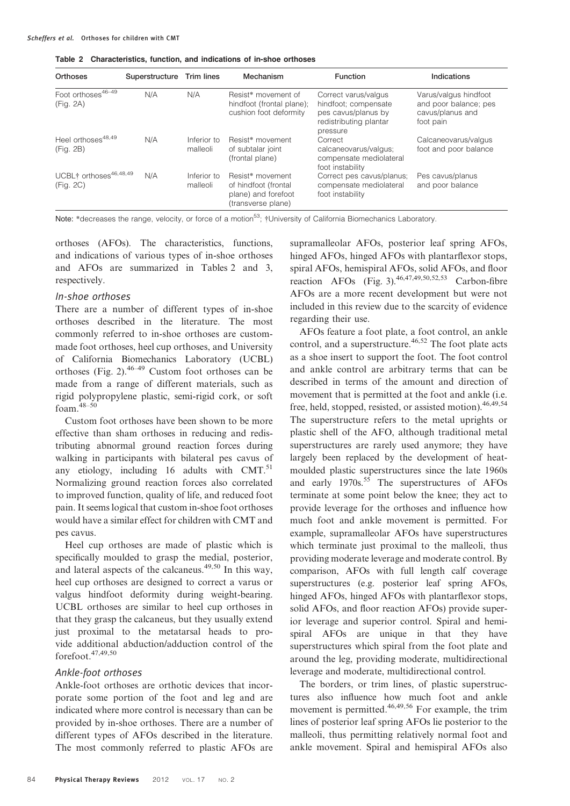|  | Table 2 Characteristics, function, and indications of in-shoe orthoses |  |  |  |  |
|--|------------------------------------------------------------------------|--|--|--|--|
|--|------------------------------------------------------------------------|--|--|--|--|

| Orthoses                                                    | Superstructure | <b>Trim lines</b>       | Mechanism                                                                             | Function                                                                                                  | Indications                                                                     |
|-------------------------------------------------------------|----------------|-------------------------|---------------------------------------------------------------------------------------|-----------------------------------------------------------------------------------------------------------|---------------------------------------------------------------------------------|
| Foot orthoses <sup>46-49</sup><br>(Fig. 2A)                 | N/A            | N/A                     | Resist* movement of<br>hindfoot (frontal plane);<br>cushion foot deformity            | Correct varus/valgus<br>hindfoot; compensate<br>pes cavus/planus by<br>redistributing plantar<br>pressure | Varus/valgus hindfoot<br>and poor balance; pes<br>cavus/planus and<br>foot pain |
| Heel orthoses <sup>48,49</sup><br>(Fig. 2B)                 | N/A            | Inferior to<br>malleoli | Resist* movement<br>of subtalar joint<br>(frontal plane)                              | Correct<br>calcaneovarus/valgus;<br>compensate mediolateral<br>foot instability                           | Calcaneovarus/valgus<br>foot and poor balance                                   |
| UCBL <sup>†</sup> orthoses <sup>46,48,49</sup><br>(Fig. 2C) | N/A            | Inferior to<br>malleoli | Resist* movement<br>of hindfoot (frontal<br>plane) and forefoot<br>(transverse plane) | Correct pes cavus/planus;<br>compensate mediolateral<br>foot instability                                  | Pes cavus/planus<br>and poor balance                                            |

Note: \*decreases the range, velocity, or force of a motion<sup>53</sup>; †University of California Biomechanics Laboratory.

orthoses (AFOs). The characteristics, functions, and indications of various types of in-shoe orthoses and AFOs are summarized in Tables 2 and 3, respectively.

#### In-shoe orthoses

There are a number of different types of in-shoe orthoses described in the literature. The most commonly referred to in-shoe orthoses are custommade foot orthoses, heel cup orthoses, and University of California Biomechanics Laboratory (UCBL) orthoses (Fig. 2). $46-49$  Custom foot orthoses can be made from a range of different materials, such as rigid polypropylene plastic, semi-rigid cork, or soft foam. $48-50$ 

Custom foot orthoses have been shown to be more effective than sham orthoses in reducing and redistributing abnormal ground reaction forces during walking in participants with bilateral pes cavus of any etiology, including 16 adults with  $CMT$ <sup>51</sup> Normalizing ground reaction forces also correlated to improved function, quality of life, and reduced foot pain. It seems logical that custom in-shoe foot orthoses would have a similar effect for children with CMT and pes cavus.

Heel cup orthoses are made of plastic which is specifically moulded to grasp the medial, posterior, and lateral aspects of the calcaneus.<sup>49,50</sup> In this way, heel cup orthoses are designed to correct a varus or valgus hindfoot deformity during weight-bearing. UCBL orthoses are similar to heel cup orthoses in that they grasp the calcaneus, but they usually extend just proximal to the metatarsal heads to provide additional abduction/adduction control of the forefoot  $47,49,50$ 

#### Ankle-foot orthoses

Ankle-foot orthoses are orthotic devices that incorporate some portion of the foot and leg and are indicated where more control is necessary than can be provided by in-shoe orthoses. There are a number of different types of AFOs described in the literature. The most commonly referred to plastic AFOs are

supramalleolar AFOs, posterior leaf spring AFOs, hinged AFOs, hinged AFOs with plantarflexor stops, spiral AFOs, hemispiral AFOs, solid AFOs, and floor reaction AFOs  $(Fig. 3).^{46,47,49,50,52,53}$  Carbon-fibre AFOs are a more recent development but were not included in this review due to the scarcity of evidence regarding their use.

AFOs feature a foot plate, a foot control, an ankle control, and a superstructure. $46,52$  The foot plate acts as a shoe insert to support the foot. The foot control and ankle control are arbitrary terms that can be described in terms of the amount and direction of movement that is permitted at the foot and ankle (i.e. free, held, stopped, resisted, or assisted motion).<sup>46,49,54</sup> The superstructure refers to the metal uprights or plastic shell of the AFO, although traditional metal superstructures are rarely used anymore; they have largely been replaced by the development of heatmoulded plastic superstructures since the late 1960s and early 1970s.<sup>55</sup> The superstructures of AFOs terminate at some point below the knee; they act to provide leverage for the orthoses and influence how much foot and ankle movement is permitted. For example, supramalleolar AFOs have superstructures which terminate just proximal to the malleoli, thus providing moderate leverage and moderate control. By comparison, AFOs with full length calf coverage superstructures (e.g. posterior leaf spring AFOs, hinged AFOs, hinged AFOs with plantarflexor stops, solid AFOs, and floor reaction AFOs) provide superior leverage and superior control. Spiral and hemispiral AFOs are unique in that they have superstructures which spiral from the foot plate and around the leg, providing moderate, multidirectional leverage and moderate, multidirectional control.

The borders, or trim lines, of plastic superstructures also influence how much foot and ankle movement is permitted.<sup>46,49,56</sup> For example, the trim lines of posterior leaf spring AFOs lie posterior to the malleoli, thus permitting relatively normal foot and ankle movement. Spiral and hemispiral AFOs also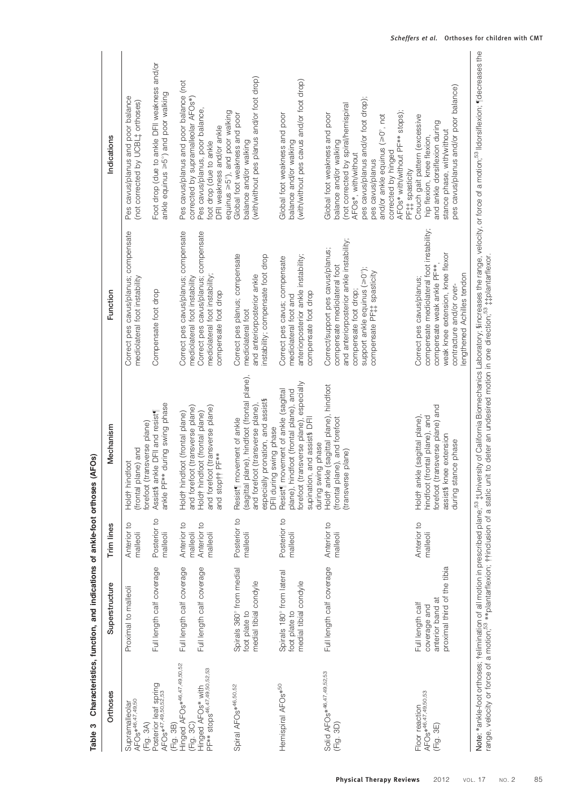| Orthoses                                                                 | Superstructure                                                                      | Trim lines               | Mechanism                                                                                                                                                                      | Function                                                                                                                                                                                                           | Indications                                                                                                                                                                                                                                                                                     |
|--------------------------------------------------------------------------|-------------------------------------------------------------------------------------|--------------------------|--------------------------------------------------------------------------------------------------------------------------------------------------------------------------------|--------------------------------------------------------------------------------------------------------------------------------------------------------------------------------------------------------------------|-------------------------------------------------------------------------------------------------------------------------------------------------------------------------------------------------------------------------------------------------------------------------------------------------|
| Supramalleolar<br>AFO <sub>S</sub> * <sup>46,47,49,50</sup><br>(Fig. 3A) | Proximal to malleoli                                                                | Anterior to<br>malleoli  | forefoot (transverse plane)<br>(frontal plane) and<br>Holdt hindfoot                                                                                                           | Correct pes cavus/planus; compensate<br>mediolateral foot instability                                                                                                                                              | Pes cavus/planus and poor balance<br>(not corrected by UCBL; orthoses)                                                                                                                                                                                                                          |
| Posterior leaf spring<br>AFOs* <sup>47,49,50,52,53</sup><br>(Fig. 3B)    | Full length calf coverage                                                           | Posterior to<br>malleoli | ankle PF** during swing phase<br>Assists ankle DFII and resist                                                                                                                 | Compensate foot drop                                                                                                                                                                                               | Foot drop (due to ankle DFII weakness and/or<br>ankle equinus $\geq 5^{\circ}$ ) and poor walking                                                                                                                                                                                               |
| Hinged AFOs*46,47,49,50,52<br>(Fig. 3C)                                  | Full length calf coverage                                                           | Anterior to<br>malleoli  | and forefoot (transverse plane)<br>Hold† hindfoot (frontal plane)                                                                                                              | Correct pes cavus/planus; compensate<br>mediolateral foot instability                                                                                                                                              | Pes cavus/planus and poor balance (not<br>corrected by supramalleolar AFOs*)                                                                                                                                                                                                                    |
| Hinged AFOs* with<br>PF** stops <sup>46,47,49,50,52,53</sup>             | Full length calf coverage                                                           | Anterior to<br>malleoli  | and forefoot (transverse plane)<br>Hold† hindfoot (frontal plane)<br>and stop†† PF**                                                                                           | Correct pes cavus/planus; compensate<br>mediolateral foot instability;<br>compensate foot drop                                                                                                                     | Pes cavus/planus, poor balance,<br>equinus >5°), and poor walking<br>DFII weakness and/or ankle<br>foot drop (due to ankle                                                                                                                                                                      |
| Spiral AFO <sub>s</sub> *46,50,52                                        | Spirals 360° from medial<br>medial tibial condyle<br>foot plate to                  | Posterior to<br>malleoli | (sagittal plane), hindfoot (frontal plane),<br>pronation, and assists<br>and forefoot (transverse plane)<br>Resist¶ movement of ankle<br>DFII during swing phase<br>especially | Correct pes planus; compensate<br>instability; compensate foot drop<br>and anteriorposterior ankle<br>mediolateral foot                                                                                            | (with/without pes planus and/or foot drop)<br>Global foot weakness and poor<br>balance and/or walking                                                                                                                                                                                           |
| Hemispiral AFOs* <sup>50</sup>                                           | Spirals 180° from lateral<br>medial tibial condyle<br>foot plate to                 | Posterior to<br>malleoli | forefoot (transverse plane), especially<br>Resist¶ movement of ankle (sagittal<br>plane), hindfoot (frontal plane), and<br>supination, and assists DFII<br>during swing phase  | anteriorposterior ankle instability;<br>Correct pes cavus; compensate<br>compensate foot drop<br>mediolateral foot and                                                                                             | (with/without pes cavus and/or foot drop)<br>Global foot weakness and poor<br>balance and/or walking                                                                                                                                                                                            |
| Solid AFOs*46,47,49,52,53<br>(Fig. 3D)                                   | Full length calf coverage                                                           | Anterior to<br>nalleoli  | Hold† ankle (sagittal plane), hindfoot<br>(frontal plane), and forefoot<br>transverse plane)                                                                                   | and anteriorposterior ankle instability;<br>Correct/support pes cavus/planus;<br>compensate mediolateral foot<br>support ankle equinus (> 0°);<br>compensate PF <sub>#</sub> # spasticity<br>compensate foot drop; | pes cavus/planus and/or foot drop);<br>(not corrected by spiral/hemispiral<br>AFOs* with/without PF** stops);<br>Global foot weakness and poor<br>and/or ankle equinus (>0°, not<br>balance and/or walking<br>corrected by hinged<br>AFOs*, with/without<br>pes cavus/planus<br>PF## spasticity |
| AFO <sub>S</sub> *46,47,49,50,53<br>Floor reaction<br>(Fig. 3E)          | proximal third of the tibia<br>anterior band at<br>Full length calf<br>coverage and | Anterior to<br>malleoli  | forefoot (transverse plane) and<br>hindfoot (frontal plane), and<br>Hold† ankle (sagittal plane)<br>assists knee extension<br>during stance phase                              | compensate mediolateral foot instability;<br>weak knee extension, knee flexor<br>compensate weak ankle PF**,<br>engthened Achilles tendon<br>Correct pes cavus/planus;<br>contracture and/or over-                 | oes cavus/planus and/or poor balance)<br>Crouch gait pattern (excessive<br>and ankle dorsiflexion during<br>stance phase, with/without<br>hip flexion, knee flexion,                                                                                                                            |
|                                                                          |                                                                                     |                          |                                                                                                                                                                                |                                                                                                                                                                                                                    | <b>Note: *ar</b> kle-foot orthoses; †elimination of all motion in prescribed plane; <sup>53</sup> ‡University of California Biomechanics Laboratory; §increases the range, velocity, or force of a motion; <sup>53</sup> lldorsiflexion; ¶decreases the<br>                                     |

Table 3 Characteristics, function, and indications of ankle-foot orthoses (AFOs) Table 3 Characteristics, function, and indications of ankle-foot orthoses (AFOs)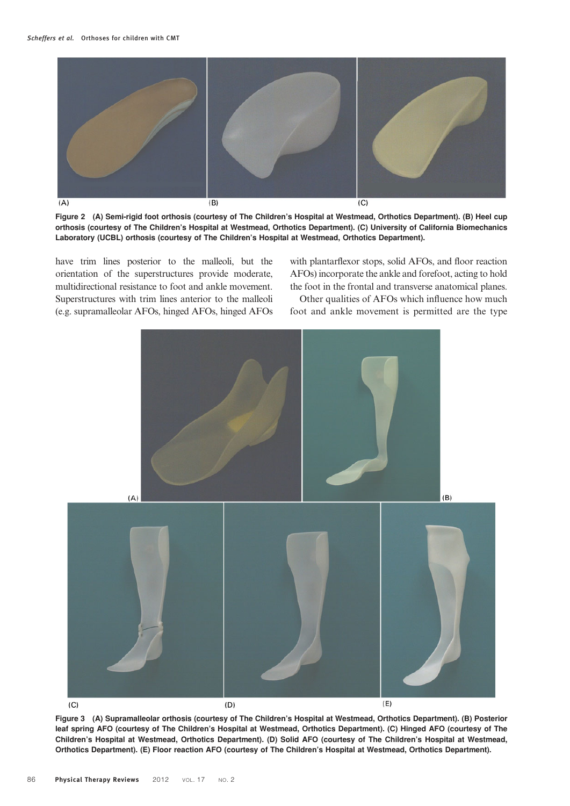

Figure 2 (A) Semi-rigid foot orthosis (courtesy of The Children's Hospital at Westmead, Orthotics Department). (B) Heel cup orthosis (courtesy of The Children's Hospital at Westmead, Orthotics Department). (C) University of California Biomechanics Laboratory (UCBL) orthosis (courtesy of The Children's Hospital at Westmead, Orthotics Department).

have trim lines posterior to the malleoli, but the orientation of the superstructures provide moderate, multidirectional resistance to foot and ankle movement. Superstructures with trim lines anterior to the malleoli (e.g. supramalleolar AFOs, hinged AFOs, hinged AFOs with plantarflexor stops, solid AFOs, and floor reaction AFOs) incorporate the ankle and forefoot, acting to hold the foot in the frontal and transverse anatomical planes.

Other qualities of AFOs which influence how much foot and ankle movement is permitted are the type



Figure 3 (A) Supramalleolar orthosis (courtesy of The Children's Hospital at Westmead, Orthotics Department). (B) Posterior leaf spring AFO (courtesy of The Children's Hospital at Westmead, Orthotics Department). (C) Hinged AFO (courtesy of The Children's Hospital at Westmead, Orthotics Department). (D) Solid AFO (courtesy of The Children's Hospital at Westmead, Orthotics Department). (E) Floor reaction AFO (courtesy of The Children's Hospital at Westmead, Orthotics Department).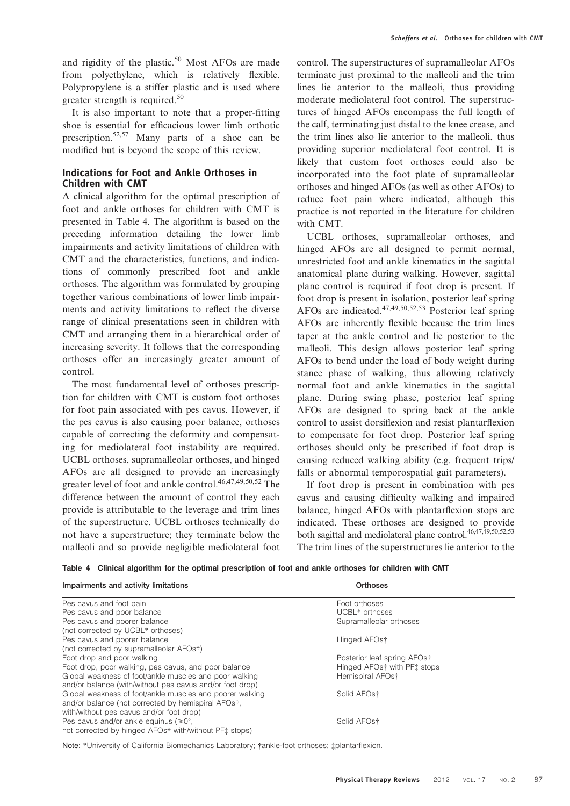and rigidity of the plastic.<sup>50</sup> Most AFOs are made from polyethylene, which is relatively flexible. Polypropylene is a stiffer plastic and is used where greater strength is required.<sup>50</sup>

It is also important to note that a proper-fitting shoe is essential for efficacious lower limb orthotic prescription.52,57 Many parts of a shoe can be modified but is beyond the scope of this review.

# Indications for Foot and Ankle Orthoses in Children with CMT

A clinical algorithm for the optimal prescription of foot and ankle orthoses for children with CMT is presented in Table 4. The algorithm is based on the preceding information detailing the lower limb impairments and activity limitations of children with CMT and the characteristics, functions, and indications of commonly prescribed foot and ankle orthoses. The algorithm was formulated by grouping together various combinations of lower limb impairments and activity limitations to reflect the diverse range of clinical presentations seen in children with CMT and arranging them in a hierarchical order of increasing severity. It follows that the corresponding orthoses offer an increasingly greater amount of control.

The most fundamental level of orthoses prescription for children with CMT is custom foot orthoses for foot pain associated with pes cavus. However, if the pes cavus is also causing poor balance, orthoses capable of correcting the deformity and compensating for mediolateral foot instability are required. UCBL orthoses, supramalleolar orthoses, and hinged AFOs are all designed to provide an increasingly greater level of foot and ankle control.46,47,49,50,52 The difference between the amount of control they each provide is attributable to the leverage and trim lines of the superstructure. UCBL orthoses technically do not have a superstructure; they terminate below the malleoli and so provide negligible mediolateral foot control. The superstructures of supramalleolar AFOs terminate just proximal to the malleoli and the trim lines lie anterior to the malleoli, thus providing moderate mediolateral foot control. The superstructures of hinged AFOs encompass the full length of the calf, terminating just distal to the knee crease, and the trim lines also lie anterior to the malleoli, thus providing superior mediolateral foot control. It is likely that custom foot orthoses could also be incorporated into the foot plate of supramalleolar orthoses and hinged AFOs (as well as other AFOs) to reduce foot pain where indicated, although this practice is not reported in the literature for children with CMT.

UCBL orthoses, supramalleolar orthoses, and hinged AFOs are all designed to permit normal, unrestricted foot and ankle kinematics in the sagittal anatomical plane during walking. However, sagittal plane control is required if foot drop is present. If foot drop is present in isolation, posterior leaf spring AFOs are indicated.47,49,50,52,53 Posterior leaf spring AFOs are inherently flexible because the trim lines taper at the ankle control and lie posterior to the malleoli. This design allows posterior leaf spring AFOs to bend under the load of body weight during stance phase of walking, thus allowing relatively normal foot and ankle kinematics in the sagittal plane. During swing phase, posterior leaf spring AFOs are designed to spring back at the ankle control to assist dorsiflexion and resist plantarflexion to compensate for foot drop. Posterior leaf spring orthoses should only be prescribed if foot drop is causing reduced walking ability (e.g. frequent trips/ falls or abnormal temporospatial gait parameters).

If foot drop is present in combination with pes cavus and causing difficulty walking and impaired balance, hinged AFOs with plantarflexion stops are indicated. These orthoses are designed to provide both sagittal and mediolateral plane control.<sup>46,47,49,50,52,53</sup> The trim lines of the superstructures lie anterior to the

Table 4 Clinical algorithm for the optimal prescription of foot and ankle orthoses for children with CMT

| Impairments and activity limitations                     | Orthoses                    |  |
|----------------------------------------------------------|-----------------------------|--|
| Pes cavus and foot pain                                  | Foot orthoses               |  |
| Pes cavus and poor balance                               | UCBL* orthoses              |  |
| Pes cavus and poorer balance                             | Supramalleolar orthoses     |  |
| (not corrected by UCBL* orthoses)                        |                             |  |
| Pes cavus and poorer balance                             | Hinged AFOst                |  |
| (not corrected by supramalleolar AFOst)                  |                             |  |
| Foot drop and poor walking                               | Posterior leaf spring AFOst |  |
| Foot drop, poor walking, pes cavus, and poor balance     | Hinged AFOst with PFt stops |  |
| Global weakness of foot/ankle muscles and poor walking   | Hemispiral AFOst            |  |
| and/or balance (with/without pes cavus and/or foot drop) |                             |  |
| Global weakness of foot/ankle muscles and poorer walking | Solid AFOst                 |  |
| and/or balance (not corrected by hemispiral AFOst,       |                             |  |
| with/without pes cavus and/or foot drop)                 |                             |  |
| Pes cavus and/or ankle equinus ( $\geq 0^\circ$ ,        | Solid AFOst                 |  |
| not corrected by hinged AFOst with/without PFt stops)    |                             |  |

Note: \*University of California Biomechanics Laboratory; {ankle-foot orthoses; {plantarflexion.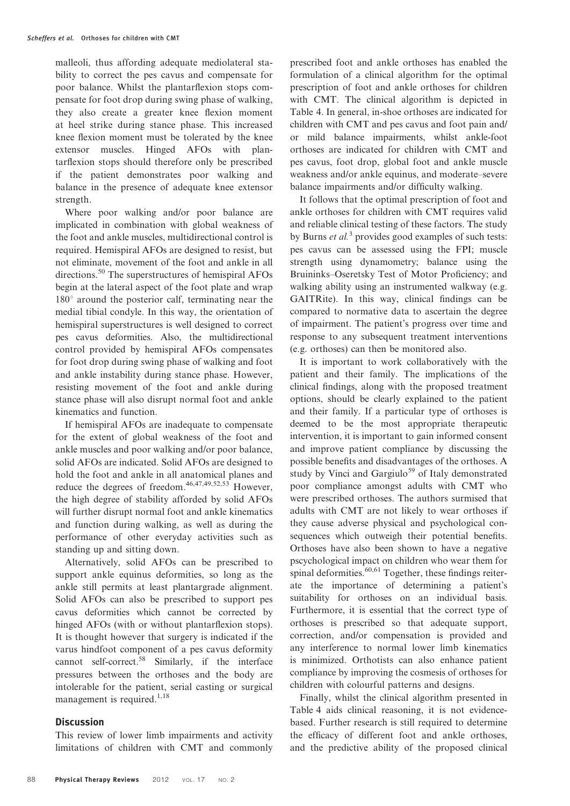malleoli, thus affording adequate mediolateral stability to correct the pes cavus and compensate for poor balance. Whilst the plantarflexion stops compensate for foot drop during swing phase of walking, they also create a greater knee flexion moment at heel strike during stance phase. This increased knee flexion moment must be tolerated by the knee extensor muscles. Hinged AFOs with plantarflexion stops should therefore only be prescribed if the patient demonstrates poor walking and balance in the presence of adequate knee extensor strength.

Where poor walking and/or poor balance are implicated in combination with global weakness of the foot and ankle muscles, multidirectional control is required. Hemispiral AFOs are designed to resist, but not eliminate, movement of the foot and ankle in all directions.<sup>50</sup> The superstructures of hemispiral AFOs begin at the lateral aspect of the foot plate and wrap  $180^\circ$  around the posterior calf, terminating near the medial tibial condyle. In this way, the orientation of hemispiral superstructures is well designed to correct pes cavus deformities. Also, the multidirectional control provided by hemispiral AFOs compensates for foot drop during swing phase of walking and foot and ankle instability during stance phase. However, resisting movement of the foot and ankle during stance phase will also disrupt normal foot and ankle kinematics and function.

If hemispiral AFOs are inadequate to compensate for the extent of global weakness of the foot and ankle muscles and poor walking and/or poor balance, solid AFOs are indicated. Solid AFOs are designed to hold the foot and ankle in all anatomical planes and reduce the degrees of freedom.<sup>46,47,49,52,53</sup> However, the high degree of stability afforded by solid AFOs will further disrupt normal foot and ankle kinematics and function during walking, as well as during the performance of other everyday activities such as standing up and sitting down.

Alternatively, solid AFOs can be prescribed to support ankle equinus deformities, so long as the ankle still permits at least plantargrade alignment. Solid AFOs can also be prescribed to support pes cavus deformities which cannot be corrected by hinged AFOs (with or without plantarflexion stops). It is thought however that surgery is indicated if the varus hindfoot component of a pes cavus deformity cannot self-correct.<sup>58</sup> Similarly, if the interface pressures between the orthoses and the body are intolerable for the patient, serial casting or surgical management is required. $1,18$ 

#### **Discussion**

This review of lower limb impairments and activity limitations of children with CMT and commonly

prescribed foot and ankle orthoses has enabled the formulation of a clinical algorithm for the optimal prescription of foot and ankle orthoses for children with CMT. The clinical algorithm is depicted in Table 4. In general, in-shoe orthoses are indicated for children with CMT and pes cavus and foot pain and/ or mild balance impairments, whilst ankle-foot orthoses are indicated for children with CMT and pes cavus, foot drop, global foot and ankle muscle weakness and/or ankle equinus, and moderate–severe balance impairments and/or difficulty walking.

It follows that the optimal prescription of foot and ankle orthoses for children with CMT requires valid and reliable clinical testing of these factors. The study by Burns  $et$   $al$ .<sup>3</sup> provides good examples of such tests: pes cavus can be assessed using the FPI; muscle strength using dynamometry; balance using the Bruininks–Oseretsky Test of Motor Proficiency; and walking ability using an instrumented walkway (e.g. GAITRite). In this way, clinical findings can be compared to normative data to ascertain the degree of impairment. The patient's progress over time and response to any subsequent treatment interventions (e.g. orthoses) can then be monitored also.

It is important to work collaboratively with the patient and their family. The implications of the clinical findings, along with the proposed treatment options, should be clearly explained to the patient and their family. If a particular type of orthoses is deemed to be the most appropriate therapeutic intervention, it is important to gain informed consent and improve patient compliance by discussing the possible benefits and disadvantages of the orthoses. A study by Vinci and Gargiulo<sup>59</sup> of Italy demonstrated poor compliance amongst adults with CMT who were prescribed orthoses. The authors surmised that adults with CMT are not likely to wear orthoses if they cause adverse physical and psychological consequences which outweigh their potential benefits. Orthoses have also been shown to have a negative pscychological impact on children who wear them for spinal deformities. $60,61$  Together, these findings reiterate the importance of determining a patient's suitability for orthoses on an individual basis. Furthermore, it is essential that the correct type of orthoses is prescribed so that adequate support, correction, and/or compensation is provided and any interference to normal lower limb kinematics is minimized. Orthotists can also enhance patient compliance by improving the cosmesis of orthoses for children with colourful patterns and designs.

Finally, whilst the clinical algorithm presented in Table 4 aids clinical reasoning, it is not evidencebased. Further research is still required to determine the efficacy of different foot and ankle orthoses, and the predictive ability of the proposed clinical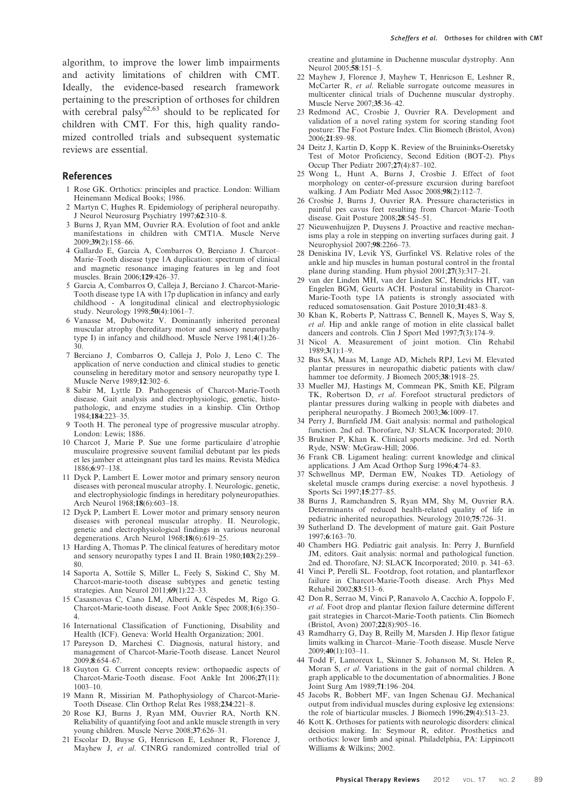algorithm, to improve the lower limb impairments and activity limitations of children with CMT. Ideally, the evidence-based research framework pertaining to the prescription of orthoses for children with cerebral palsy $^{62,63}$  should to be replicated for children with CMT. For this, high quality randomized controlled trials and subsequent systematic reviews are essential.

#### References

- 1 Rose GK. Orthotics: principles and practice. London: William Heinemann Medical Books; 1986.
- 2 Martyn C, Hughes R. Epidemiology of peripheral neuropathy. J Neurol Neurosurg Psychiatry 1997;62:310–8.
- 3 Burns J, Ryan MM, Ouvrier RA. Evolution of foot and ankle manifestations in children with CMT1A. Muscle Nerve 2009;39(2):158–66.
- 4 Gallardo E, Garcia A, Combarros O, Berciano J. Charcot– Marie–Tooth disease type 1A duplication: spectrum of clinical and magnetic resonance imaging features in leg and foot muscles. Brain 2006;129:426–37.
- 5 Garcia A, Combarros O, Calleja J, Berciano J. Charcot-Marie-Tooth disease type 1A with 17p duplication in infancy and early childhood - A longitudinal clinical and electrophysiologic study. Neurology 1998;50(4):1061–7.
- 6 Vanasse M, Dubowitz V. Dominantly inherited peroneal muscular atrophy (hereditary motor and sensory neuropathy type I) in infancy and childhood. Muscle Nerve 1981;4(1):26– 30.
- 7 Berciano J, Combarros O, Calleja J, Polo J, Leno C. The application of nerve conduction and clinical studies to genetic counseling in hereditary motor and sensory neuropathy type I. Muscle Nerve 1989;12:302–6.
- 8 Sabir M, Lyttle D. Pathogenesis of Charcot-Marie-Tooth disease. Gait analysis and electrophysiologic, genetic, histopathologic, and enzyme studies in a kinship. Clin Orthop 1984;184:223–35.
- 9 Tooth H. The peroneal type of progressive muscular atrophy. London: Lewis; 1886.
- 10 Charcot J, Marie P. Sue une forme particulaire d'atrophie musculaire progressive souvent familial debutant par les pieds et les jamber et atteingnant plus tard les mains. Revista Médica 1886;6:97–138.
- 11 Dyck P, Lambert E. Lower motor and primary sensory neuron diseases with peroneal muscular atrophy. I. Neurologic, genetic, and electrophysiologic findings in hereditary polyneuropathies. Arch Neurol 1968;18(6):603–18.
- 12 Dyck P, Lambert E. Lower motor and primary sensory neuron diseases with peroneal muscular atrophy. II. Neurologic, genetic and electrophysiological findings in various neuronal degenerations. Arch Neurol 1968;18(6):619–25.
- 13 Harding A, Thomas P. The clinical features of hereditary motor and sensory neuropathy types I and II. Brain 1980;103(2):259– 80.
- 14 Saporta A, Sottile S, Miller L, Feely S, Siskind C, Shy M. Charcot-marie-tooth disease subtypes and genetic testing strategies. Ann Neurol 2011;69(1):22–33.
- 15 Casasnovas C, Cano LM, Albertí A, Céspedes M, Rigo G. Charcot-Marie-tooth disease. Foot Ankle Spec 2008;1(6):350– 4.
- 16 International Classification of Functioning, Disability and Health (ICF). Geneva: World Health Organization; 2001.
- 17 Pareyson D, Marchesi C. Diagnosis, natural history, and management of Charcot-Marie-Tooth disease. Lancet Neurol 2009;8:654–67.
- 18 Guyton G. Current concepts review: orthopaedic aspects of Charcot-Marie-Tooth disease. Foot Ankle Int 2006;27(11): 1003–10.
- 19 Mann R, Missirian M. Pathophysiology of Charcot-Marie-Tooth Disease. Clin Orthop Relat Res 1988;234:221–8.
- 20 Rose KJ, Burns J, Ryan MM, Ouvrier RA, North KN. Reliability of quantifying foot and ankle muscle strength in very young children. Muscle Nerve 2008;37:626–31.
- 21 Escolar D, Buyse G, Henricson E, Leshner R, Florence J, Mayhew J, et al. CINRG randomized controlled trial of

creatine and glutamine in Duchenne muscular dystrophy. Ann Neurol 2005;58:151–5.

- 22 Mayhew J, Florence J, Mayhew T, Henricson E, Leshner R, McCarter R, et al. Reliable surrogate outcome measures in multicenter clinical trials of Duchenne muscular dystrophy. Muscle Nerve 2007;35:36–42.
- 23 Redmond AC, Crosbie J, Ouvrier RA. Development and validation of a novel rating system for scoring standing foot posture: The Foot Posture Index. Clin Biomech (Bristol, Avon) 2006;21:89–98.
- 24 Deitz J, Kartin D, Kopp K. Review of the Bruininks-Oseretsky Test of Motor Proficiency, Second Edition (BOT-2). Phys Occup Ther Pediatr 2007;27(4):87–102.
- 25 Wong L, Hunt A, Burns J, Crosbie J. Effect of foot morphology on center-of-pressure excursion during barefoot walking. J Am Podiatr Med Assoc 2008;98(2):112–7.
- 26 Crosbie J, Burns J, Ouvrier RA. Pressure characteristics in painful pes cavus feet resulting from Charcot–Marie–Tooth disease. Gait Posture 2008;28:545–51.
- 27 Nieuwenhuijzen P, Duysens J. Proactive and reactive mechanisms play a role in stepping on inverting surfaces during gait. J Neurophysiol 2007;98:2266–73.
- 28 Deniskina IV, Levik YS, Gurfinkel VS. Relative roles of the ankle and hip muscles in human postural control in the frontal plane during standing. Hum physiol 2001;27(3):317–21.
- 29 van der Linden MH, van der Linden SC, Hendricks HT, van Engelen BGM, Geurts ACH. Postural instability in Charcot-Marie-Tooth type 1A patients is strongly associated with reduced somatosensation. Gait Posture 2010;31:483–8.
- 30 Khan K, Roberts P, Nattrass C, Bennell K, Mayes S, Way S, et al. Hip and ankle range of motion in elite classical ballet dancers and controls. Clin J Sport Med 1997;7(3):174–9.
- 31 Nicol A. Measurement of joint motion. Clin Rehabil 1989;3(1):1–9.
- 32 Bus SA, Maas M, Lange AD, Michels RPJ, Levi M. Elevated plantar pressures in neuropathic diabetic patients with claw/ hammer toe deformity. J Biomech 2005;38:1918-25.
- 33 Mueller MJ, Hastings M, Commean PK, Smith KE, Pilgram TK, Robertson D, et al. Forefoot structural predictors of plantar pressures during walking in people with diabetes and peripheral neuropathy. J Biomech 2003;36:1009–17.
- 34 Perry J, Burnfield JM. Gait analysis: normal and pathological function. 2nd ed. Thorofare, NJ: SLACK Incorporated; 2010.
- 35 Brukner P, Khan K. Clinical sports medicine. 3rd ed. North Ryde, NSW: McGraw-Hill; 2006.
- 36 Frank CB. Ligament healing: current knowledge and clinical applications. J Am Acad Orthop Surg 1996;4:74–83.
- 37 Schwellnus MP, Derman EW, Noakes TD. Aetiology of skeletal muscle cramps during exercise: a novel hypothesis. J Sports Sci 1997;15:277–85.
- 38 Burns J, Ramchandren S, Ryan MM, Shy M, Ouvrier RA. Determinants of reduced health-related quality of life in pediatric inherited neuropathies. Neurology 2010;75:726–31.
- 39 Sutherland D. The development of mature gait. Gait Posture 1997;6:163–70.
- 40 Chambers HG. Pediatric gait analysis. In: Perry J, Burnfield JM, editors. Gait analysis: normal and pathological function. 2nd ed. Thorofare, NJ: SLACK Incorporated; 2010. p. 341–63.
- 41 Vinci P, Perelli SL. Footdrop, foot rotation, and plantarflexor failure in Charcot-Marie-Tooth disease. Arch Phys Med Rehabil 2002;83:513–6.
- 42 Don R, Serrao M, Vinci P, Ranavolo A, Cacchio A, Ioppolo F, et al. Foot drop and plantar flexion failure determine different gait strategies in Charcot-Marie-Tooth patients. Clin Biomech (Bristol, Avon) 2007;22(8):905–16.
- 43 Ramdharry G, Day B, Reilly M, Marsden J. Hip flexor fatigue limits walking in Charcot–Marie–Tooth disease. Muscle Nerve 2009;40(1):103–11.
- 44 Todd F, Lamoreux L, Skinner S, Johanson M, St. Helen R, Moran S, et al. Variations in the gait of normal children. A graph applicable to the documentation of abnormalities. J Bone Joint Surg Am 1989;71:196–204.
- 45 Jacobs R, Bobbert MF, van Ingen Schenau GJ. Mechanical output from individual muscles during explosive leg extensions: the role of biarticular muscles. J Biomech 1996;29(4):513–23.
- 46 Kott K. Orthoses for patients with neurologic disorders: clinical decision making. In: Seymour R, editor. Prosthetics and orthotics: lower limb and spinal. Philadelphia, PA: Lippincott Williams & Wilkins; 2002.